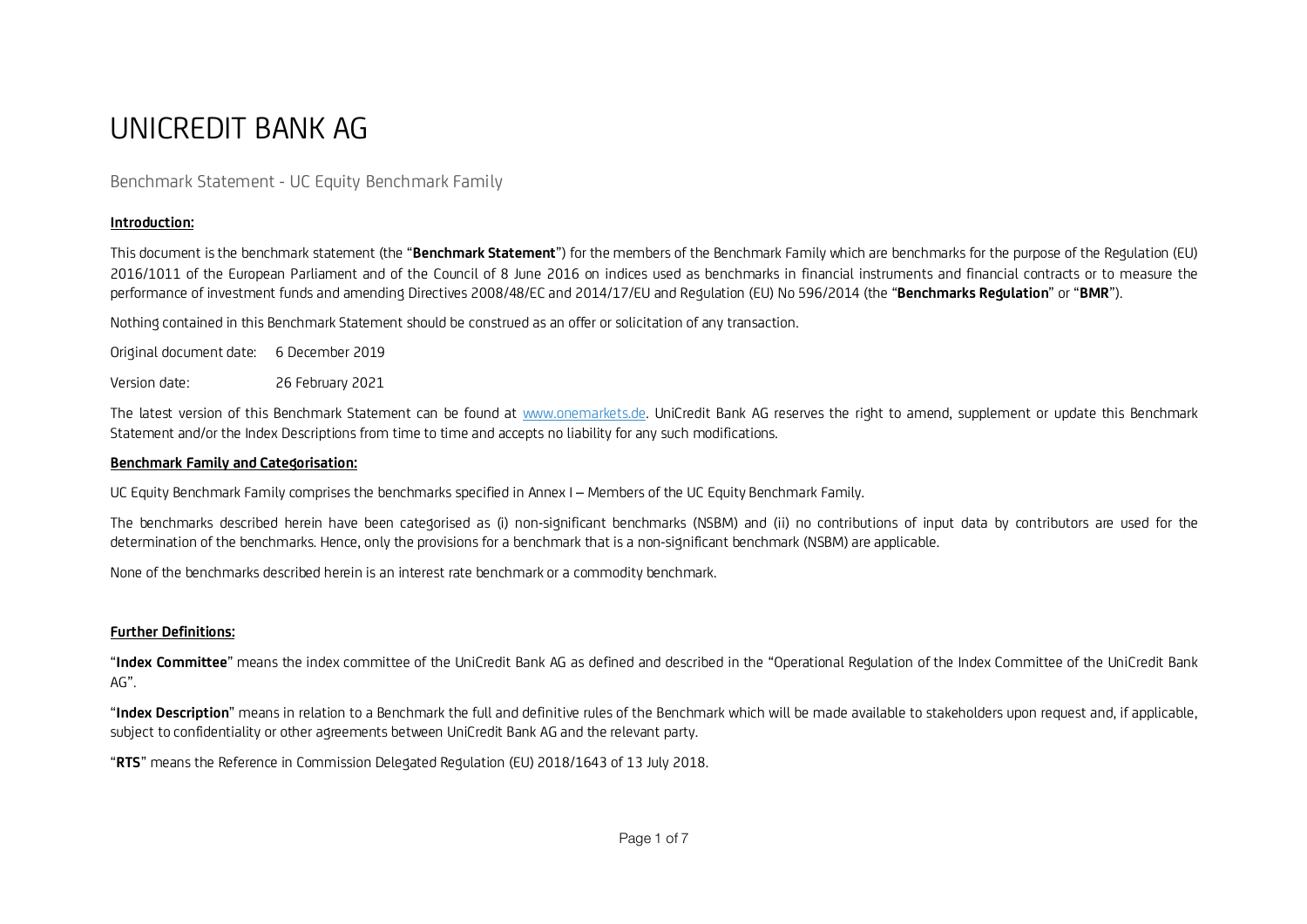# UNICREDIT BANK AG

# Benchmark Statement - UC Equity Benchmark Family

## **Introduction:**

This document is the benchmark statement (the "**Benchmark Statement**") for the members of the Benchmark Family which are benchmarks for the purpose of the Regulation (EU) 2016/1011 of the European Parliament and of the Council of 8 June 2016 on indices used as benchmarks in financial instruments and financial contracts or to measure the performance of investment funds and amending Directives 2008/48/EC and 2014/17/EU and Regulation (EU) No 596/2014 (the "**Benchmarks Regulation**" or "**BMR**").

Nothing contained in this Benchmark Statement should be construed as an offer or solicitation of any transaction.

Original document date: 6 December 2019 Version date: 26 February 2021

The latest version of this Benchmark Statement can be found at www.onemarkets.de. UniCredit Bank AG reserves the right to amend, supplement or update this Benchmark Statement and/or the Index Descriptions from time to time and accepts no liability for any such modifications.

#### **Benchmark Family and Categorisation:**

UC Equity Benchmark Family comprises the benchmarks specified in Annex I – Members of the UC Equity Benchmark Family.

The benchmarks described herein have been categorised as (i) non-significant benchmarks (NSBM) and (ii) no contributions of input data by contributors are used for the determination of the benchmarks. Hence, only the provisions for a benchmark that is a non-significant benchmark (NSBM) are applicable.

None of the benchmarks described herein is an interest rate benchmark or a commodity benchmark.

### **Further Definitions:**

"**Index Committee**" means the index committee of the UniCredit Bank AG as defined and described in the "Operational Regulation of the Index Committee of the UniCredit Bank  $AG''$ 

"**Index Description**" means in relation to a Benchmark the full and definitive rules of the Benchmark which will be made available to stakeholders upon request and, if applicable, subject to confidentiality or other agreements between UniCredit Bank AG and the relevant party.

"**RTS**" means the Reference in Commission Delegated Regulation (EU) 2018/1643 of 13 July 2018.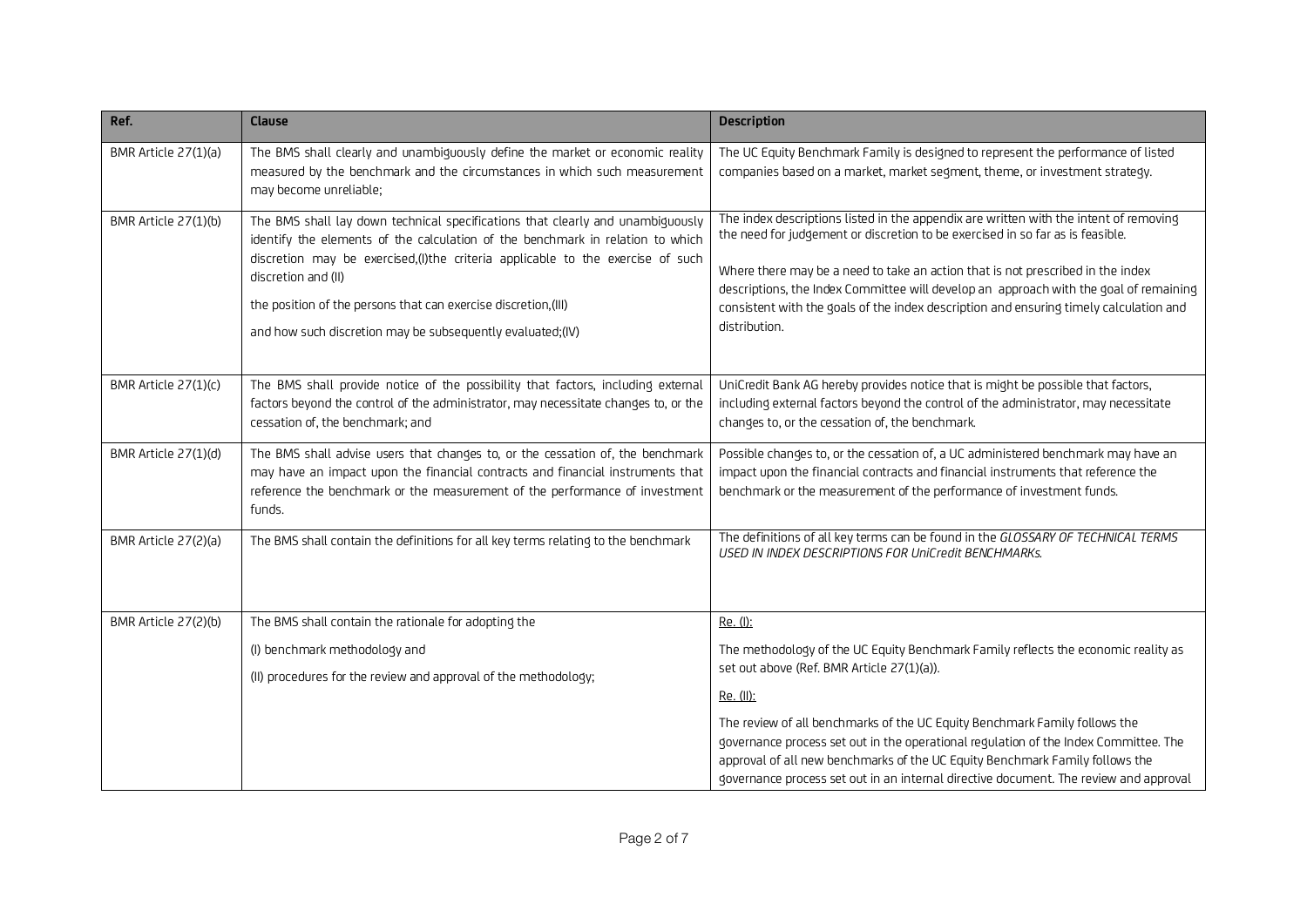| Ref.                 | Clause                                                                                                                                                                                                                                                                                                                                                                                                        | <b>Description</b>                                                                                                                                                                                                                                                                                                                                                                                                                                             |
|----------------------|---------------------------------------------------------------------------------------------------------------------------------------------------------------------------------------------------------------------------------------------------------------------------------------------------------------------------------------------------------------------------------------------------------------|----------------------------------------------------------------------------------------------------------------------------------------------------------------------------------------------------------------------------------------------------------------------------------------------------------------------------------------------------------------------------------------------------------------------------------------------------------------|
| BMR Article 27(1)(a) | The BMS shall clearly and unambiguously define the market or economic reality<br>measured by the benchmark and the circumstances in which such measurement<br>may become unreliable;                                                                                                                                                                                                                          | The UC Equity Benchmark Family is designed to represent the performance of listed<br>companies based on a market, market segment, theme, or investment strategy.                                                                                                                                                                                                                                                                                               |
| BMR Article 27(1)(b) | The BMS shall lay down technical specifications that clearly and unambiguously<br>identify the elements of the calculation of the benchmark in relation to which<br>discretion may be exercised, (I) the criteria applicable to the exercise of such<br>discretion and (II)<br>the position of the persons that can exercise discretion, (III)<br>and how such discretion may be subsequently evaluated; (IV) | The index descriptions listed in the appendix are written with the intent of removing<br>the need for judgement or discretion to be exercised in so far as is feasible.<br>Where there may be a need to take an action that is not prescribed in the index<br>descriptions, the Index Committee will develop an approach with the goal of remaining<br>consistent with the goals of the index description and ensuring timely calculation and<br>distribution. |
| BMR Article 27(1)(c) | The BMS shall provide notice of the possibility that factors, including external<br>factors beyond the control of the administrator, may necessitate changes to, or the<br>cessation of, the benchmark; and                                                                                                                                                                                                   | UniCredit Bank AG hereby provides notice that is might be possible that factors,<br>including external factors beyond the control of the administrator, may necessitate<br>changes to, or the cessation of, the benchmark.                                                                                                                                                                                                                                     |
| BMR Article 27(1)(d) | The BMS shall advise users that changes to, or the cessation of, the benchmark<br>may have an impact upon the financial contracts and financial instruments that<br>reference the benchmark or the measurement of the performance of investment<br>funds.                                                                                                                                                     | Possible changes to, or the cessation of, a UC administered benchmark may have an<br>impact upon the financial contracts and financial instruments that reference the<br>benchmark or the measurement of the performance of investment funds.                                                                                                                                                                                                                  |
| BMR Article 27(2)(a) | The BMS shall contain the definitions for all key terms relating to the benchmark                                                                                                                                                                                                                                                                                                                             | The definitions of all key terms can be found in the GLOSSARY OF TECHNICAL TERMS<br>USED IN INDEX DESCRIPTIONS FOR UniCredit BENCHMARKS.                                                                                                                                                                                                                                                                                                                       |
| BMR Article 27(2)(b) | The BMS shall contain the rationale for adopting the                                                                                                                                                                                                                                                                                                                                                          | Re. (I):                                                                                                                                                                                                                                                                                                                                                                                                                                                       |
|                      | (I) benchmark methodology and<br>(II) procedures for the review and approval of the methodology;                                                                                                                                                                                                                                                                                                              | The methodology of the UC Equity Benchmark Family reflects the economic reality as<br>set out above (Ref. BMR Article 27(1)(a)).                                                                                                                                                                                                                                                                                                                               |
|                      |                                                                                                                                                                                                                                                                                                                                                                                                               | Re. (II):                                                                                                                                                                                                                                                                                                                                                                                                                                                      |
|                      |                                                                                                                                                                                                                                                                                                                                                                                                               | The review of all benchmarks of the UC Equity Benchmark Family follows the<br>governance process set out in the operational regulation of the Index Committee. The<br>approval of all new benchmarks of the UC Equity Benchmark Family follows the<br>governance process set out in an internal directive document. The review and approval                                                                                                                    |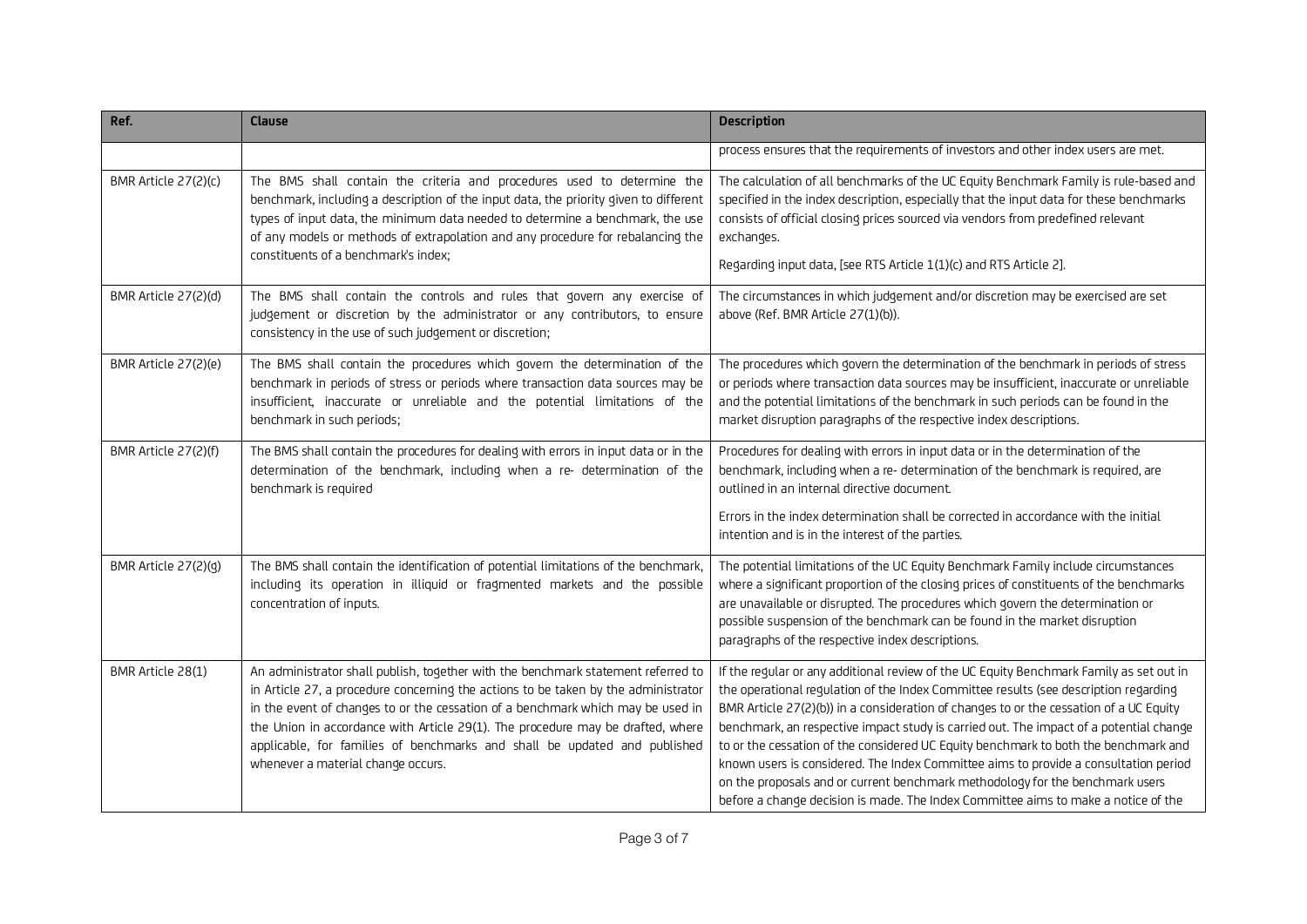| Ref.                 | <b>Clause</b>                                                                                                                                                                                                                                                                                                                                                                                                                                                    | <b>Description</b>                                                                                                                                                                                                                                                                                                                                                                                                                                                                                                                                                                                                                                                                                                        |  |
|----------------------|------------------------------------------------------------------------------------------------------------------------------------------------------------------------------------------------------------------------------------------------------------------------------------------------------------------------------------------------------------------------------------------------------------------------------------------------------------------|---------------------------------------------------------------------------------------------------------------------------------------------------------------------------------------------------------------------------------------------------------------------------------------------------------------------------------------------------------------------------------------------------------------------------------------------------------------------------------------------------------------------------------------------------------------------------------------------------------------------------------------------------------------------------------------------------------------------------|--|
|                      |                                                                                                                                                                                                                                                                                                                                                                                                                                                                  | process ensures that the requirements of investors and other index users are met.                                                                                                                                                                                                                                                                                                                                                                                                                                                                                                                                                                                                                                         |  |
| BMR Article 27(2)(c) | The BMS shall contain the criteria and procedures used to determine the<br>benchmark, including a description of the input data, the priority given to different<br>types of input data, the minimum data needed to determine a benchmark, the use<br>of any models or methods of extrapolation and any procedure for rebalancing the<br>constituents of a benchmark's index;                                                                                    | The calculation of all benchmarks of the UC Equity Benchmark Family is rule-based and<br>specified in the index description, especially that the input data for these benchmarks<br>consists of official closing prices sourced via vendors from predefined relevant<br>exchanges.<br>Regarding input data, [see RTS Article 1(1)(c) and RTS Article 2].                                                                                                                                                                                                                                                                                                                                                                  |  |
| BMR Article 27(2)(d) | The BMS shall contain the controls and rules that govern any exercise of<br>judgement or discretion by the administrator or any contributors, to ensure<br>consistency in the use of such judgement or discretion;                                                                                                                                                                                                                                               | The circumstances in which judgement and/or discretion may be exercised are set<br>above (Ref. BMR Article 27(1)(b)).                                                                                                                                                                                                                                                                                                                                                                                                                                                                                                                                                                                                     |  |
| BMR Article 27(2)(e) | The BMS shall contain the procedures which govern the determination of the<br>benchmark in periods of stress or periods where transaction data sources may be<br>insufficient, inaccurate or unreliable and the potential limitations of the<br>benchmark in such periods;                                                                                                                                                                                       | The procedures which govern the determination of the benchmark in periods of stress<br>or periods where transaction data sources may be insufficient, inaccurate or unreliable<br>and the potential limitations of the benchmark in such periods can be found in the<br>market disruption paragraphs of the respective index descriptions.                                                                                                                                                                                                                                                                                                                                                                                |  |
| BMR Article 27(2)(f) | The BMS shall contain the procedures for dealing with errors in input data or in the<br>determination of the benchmark, including when a re- determination of the<br>benchmark is required                                                                                                                                                                                                                                                                       | Procedures for dealing with errors in input data or in the determination of the<br>benchmark, including when a re- determination of the benchmark is required, are<br>outlined in an internal directive document.                                                                                                                                                                                                                                                                                                                                                                                                                                                                                                         |  |
|                      |                                                                                                                                                                                                                                                                                                                                                                                                                                                                  | Errors in the index determination shall be corrected in accordance with the initial<br>intention and is in the interest of the parties.                                                                                                                                                                                                                                                                                                                                                                                                                                                                                                                                                                                   |  |
| BMR Article 27(2)(g) | The BMS shall contain the identification of potential limitations of the benchmark,<br>including its operation in illiquid or fragmented markets and the possible<br>concentration of inputs.                                                                                                                                                                                                                                                                    | The potential limitations of the UC Equity Benchmark Family include circumstances<br>where a significant proportion of the closing prices of constituents of the benchmarks<br>are unavailable or disrupted. The procedures which govern the determination or<br>possible suspension of the benchmark can be found in the market disruption<br>paragraphs of the respective index descriptions.                                                                                                                                                                                                                                                                                                                           |  |
| BMR Article 28(1)    | An administrator shall publish, together with the benchmark statement referred to<br>in Article 27, a procedure concerning the actions to be taken by the administrator<br>in the event of changes to or the cessation of a benchmark which may be used in<br>the Union in accordance with Article 29(1). The procedure may be drafted, where<br>applicable, for families of benchmarks and shall be updated and published<br>whenever a material change occurs. | If the regular or any additional review of the UC Equity Benchmark Family as set out in<br>the operational regulation of the Index Committee results (see description regarding<br>BMR Article 27(2)(b)) in a consideration of changes to or the cessation of a UC Equity<br>benchmark, an respective impact study is carried out. The impact of a potential change<br>to or the cessation of the considered UC Equity benchmark to both the benchmark and<br>known users is considered. The Index Committee aims to provide a consultation period<br>on the proposals and or current benchmark methodology for the benchmark users<br>before a change decision is made. The Index Committee aims to make a notice of the |  |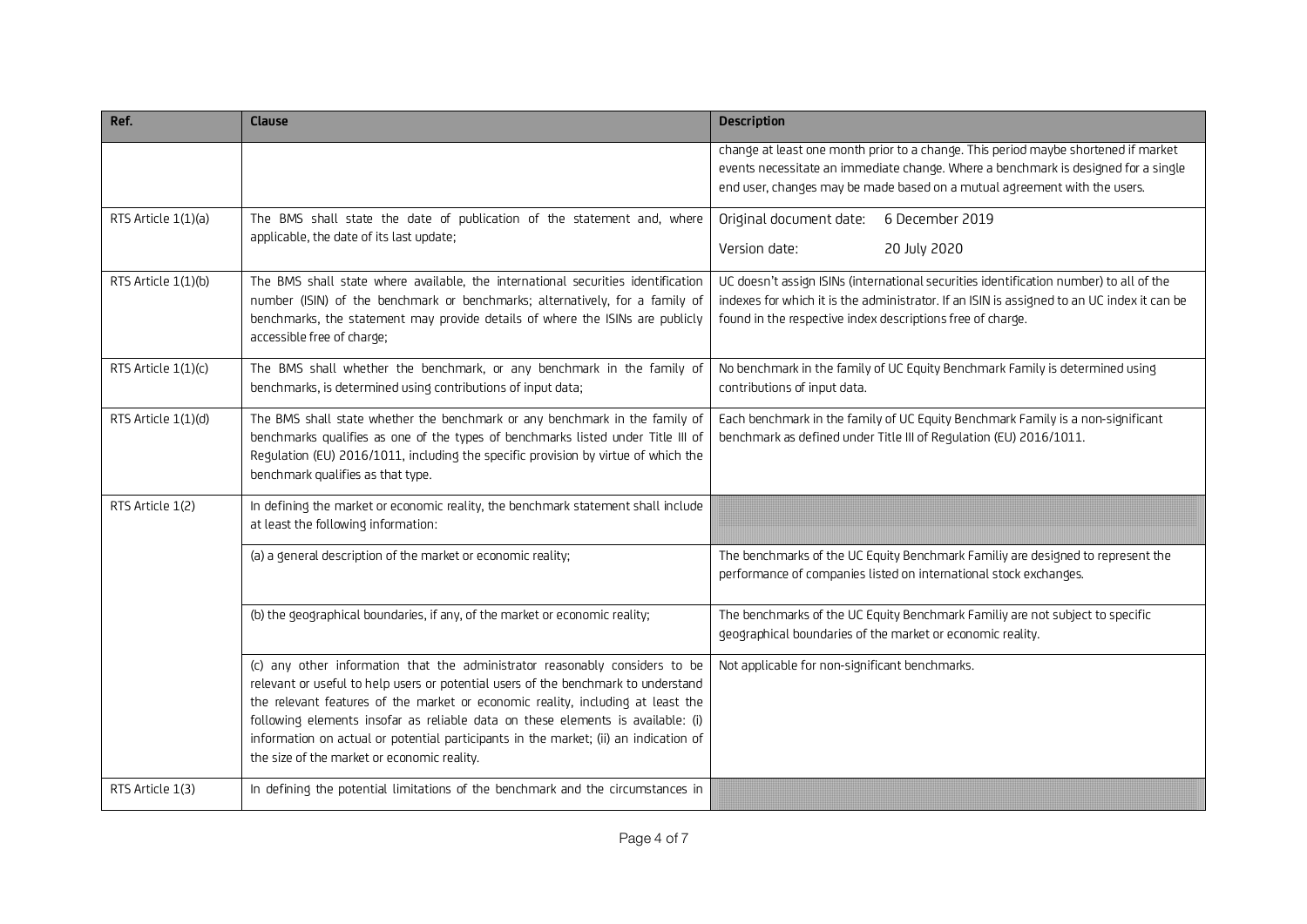| Ref.                | <b>Clause</b>                                                                                                                                                                                                                                                                                                                                                                                                                                                                  | <b>Description</b>                                                                                                                                                                                                                                    |  |
|---------------------|--------------------------------------------------------------------------------------------------------------------------------------------------------------------------------------------------------------------------------------------------------------------------------------------------------------------------------------------------------------------------------------------------------------------------------------------------------------------------------|-------------------------------------------------------------------------------------------------------------------------------------------------------------------------------------------------------------------------------------------------------|--|
|                     |                                                                                                                                                                                                                                                                                                                                                                                                                                                                                | change at least one month prior to a change. This period maybe shortened if market<br>events necessitate an immediate change. Where a benchmark is designed for a single<br>end user, changes may be made based on a mutual agreement with the users. |  |
| RTS Article 1(1)(a) | The BMS shall state the date of publication of the statement and, where<br>applicable, the date of its last update;                                                                                                                                                                                                                                                                                                                                                            | Original document date:<br>6 December 2019<br>Version date:<br>20 July 2020                                                                                                                                                                           |  |
| RTS Article 1(1)(b) | The BMS shall state where available, the international securities identification<br>number (ISIN) of the benchmark or benchmarks; alternatively, for a family of<br>benchmarks, the statement may provide details of where the ISINs are publicly<br>accessible free of charge;                                                                                                                                                                                                | UC doesn't assign ISINs (international securities identification number) to all of the<br>indexes for which it is the administrator. If an ISIN is assigned to an UC index it can be<br>found in the respective index descriptions free of charge.    |  |
| RTS Article 1(1)(c) | The BMS shall whether the benchmark, or any benchmark in the family of<br>benchmarks, is determined using contributions of input data;                                                                                                                                                                                                                                                                                                                                         | No benchmark in the family of UC Equity Benchmark Family is determined using<br>contributions of input data.                                                                                                                                          |  |
| RTS Article 1(1)(d) | The BMS shall state whether the benchmark or any benchmark in the family of<br>benchmarks qualifies as one of the types of benchmarks listed under Title III of<br>Regulation (EU) 2016/1011, including the specific provision by virtue of which the<br>benchmark qualifies as that type.                                                                                                                                                                                     | Each benchmark in the family of UC Equity Benchmark Family is a non-significant<br>benchmark as defined under Title III of Regulation (EU) 2016/1011.                                                                                                 |  |
| RTS Article 1(2)    | In defining the market or economic reality, the benchmark statement shall include<br>at least the following information:                                                                                                                                                                                                                                                                                                                                                       |                                                                                                                                                                                                                                                       |  |
|                     | (a) a general description of the market or economic reality;                                                                                                                                                                                                                                                                                                                                                                                                                   | The benchmarks of the UC Equity Benchmark Familiy are designed to represent the<br>performance of companies listed on international stock exchanges.                                                                                                  |  |
|                     | (b) the geographical boundaries, if any, of the market or economic reality;                                                                                                                                                                                                                                                                                                                                                                                                    | The benchmarks of the UC Equity Benchmark Familiy are not subject to specific<br>geographical boundaries of the market or economic reality.                                                                                                           |  |
|                     | (c) any other information that the administrator reasonably considers to be<br>relevant or useful to help users or potential users of the benchmark to understand<br>the relevant features of the market or economic reality, including at least the<br>following elements insofar as reliable data on these elements is available: (i)<br>information on actual or potential participants in the market; (ii) an indication of<br>the size of the market or economic reality. | Not applicable for non-significant benchmarks.                                                                                                                                                                                                        |  |
| RTS Article 1(3)    | In defining the potential limitations of the benchmark and the circumstances in                                                                                                                                                                                                                                                                                                                                                                                                |                                                                                                                                                                                                                                                       |  |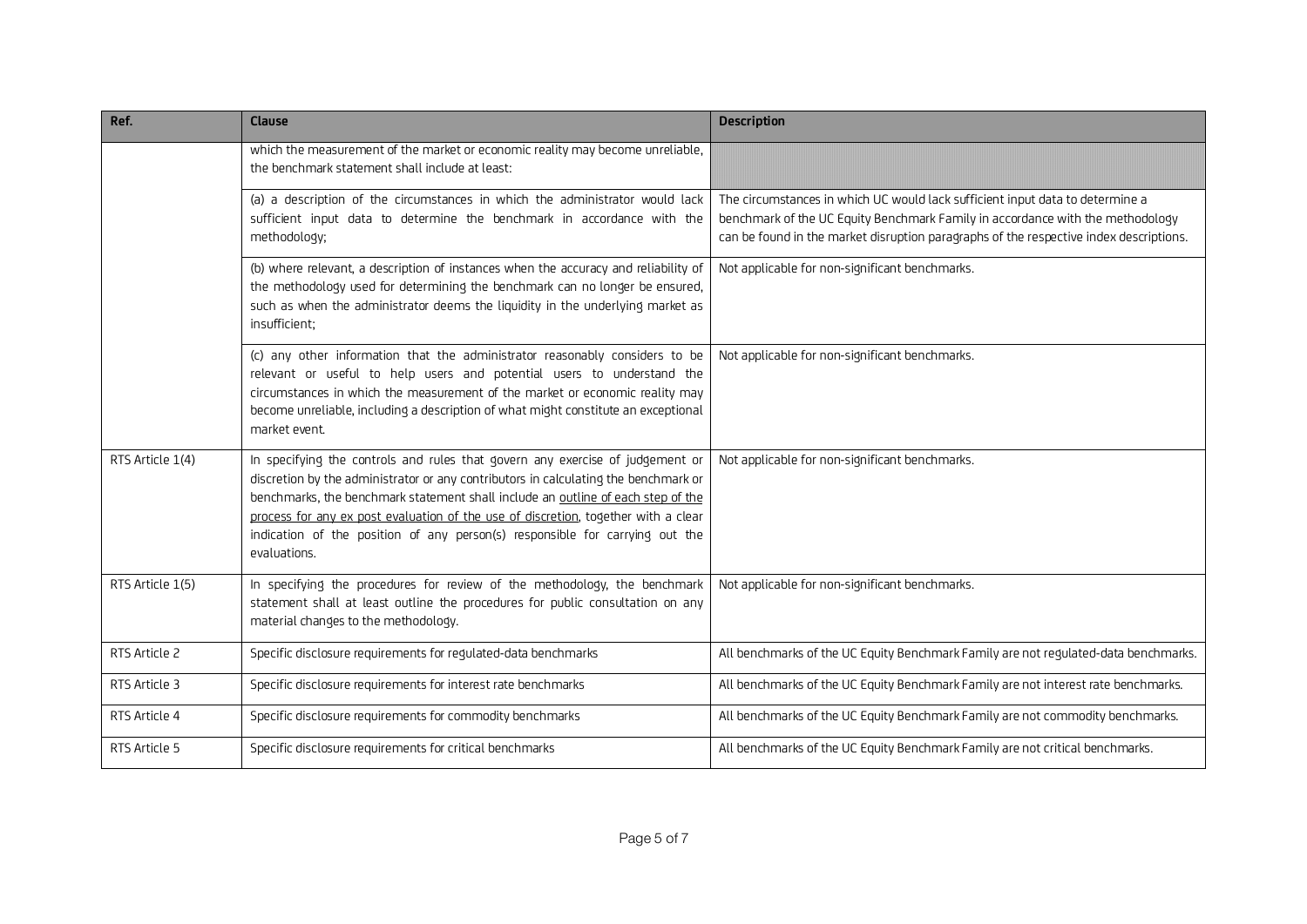| Ref.             | <b>Clause</b>                                                                                                                                                                                                                                                                                                                                                                                                                                  | <b>Description</b>                                                                                                                                                                                                                                        |  |
|------------------|------------------------------------------------------------------------------------------------------------------------------------------------------------------------------------------------------------------------------------------------------------------------------------------------------------------------------------------------------------------------------------------------------------------------------------------------|-----------------------------------------------------------------------------------------------------------------------------------------------------------------------------------------------------------------------------------------------------------|--|
|                  | which the measurement of the market or economic reality may become unreliable,<br>the benchmark statement shall include at least:                                                                                                                                                                                                                                                                                                              |                                                                                                                                                                                                                                                           |  |
|                  | (a) a description of the circumstances in which the administrator would lack<br>sufficient input data to determine the benchmark in accordance with the<br>methodology;                                                                                                                                                                                                                                                                        | The circumstances in which UC would lack sufficient input data to determine a<br>benchmark of the UC Equity Benchmark Family in accordance with the methodology<br>can be found in the market disruption paragraphs of the respective index descriptions. |  |
|                  | (b) where relevant, a description of instances when the accuracy and reliability of<br>the methodology used for determining the benchmark can no longer be ensured,<br>such as when the administrator deems the liquidity in the underlying market as<br>insufficient;                                                                                                                                                                         | Not applicable for non-significant benchmarks.                                                                                                                                                                                                            |  |
|                  | (c) any other information that the administrator reasonably considers to be<br>relevant or useful to help users and potential users to understand the<br>circumstances in which the measurement of the market or economic reality may<br>become unreliable, including a description of what might constitute an exceptional<br>market event.                                                                                                   | Not applicable for non-significant benchmarks.                                                                                                                                                                                                            |  |
| RTS Article 1(4) | In specifying the controls and rules that govern any exercise of judgement or<br>discretion by the administrator or any contributors in calculating the benchmark or<br>benchmarks, the benchmark statement shall include an outline of each step of the<br>process for any ex post evaluation of the use of discretion, together with a clear<br>indication of the position of any person(s) responsible for carrying out the<br>evaluations. | Not applicable for non-significant benchmarks.                                                                                                                                                                                                            |  |
| RTS Article 1(5) | In specifying the procedures for review of the methodology, the benchmark<br>statement shall at least outline the procedures for public consultation on any<br>material changes to the methodology.                                                                                                                                                                                                                                            | Not applicable for non-significant benchmarks.                                                                                                                                                                                                            |  |
| RTS Article 2    | Specific disclosure requirements for regulated-data benchmarks                                                                                                                                                                                                                                                                                                                                                                                 | All benchmarks of the UC Equity Benchmark Family are not regulated-data benchmarks.                                                                                                                                                                       |  |
| RTS Article 3    | Specific disclosure requirements for interest rate benchmarks                                                                                                                                                                                                                                                                                                                                                                                  | All benchmarks of the UC Equity Benchmark Family are not interest rate benchmarks.                                                                                                                                                                        |  |
| RTS Article 4    | Specific disclosure requirements for commodity benchmarks                                                                                                                                                                                                                                                                                                                                                                                      | All benchmarks of the UC Equity Benchmark Family are not commodity benchmarks.                                                                                                                                                                            |  |
| RTS Article 5    | Specific disclosure requirements for critical benchmarks                                                                                                                                                                                                                                                                                                                                                                                       | All benchmarks of the UC Equity Benchmark Family are not critical benchmarks.                                                                                                                                                                             |  |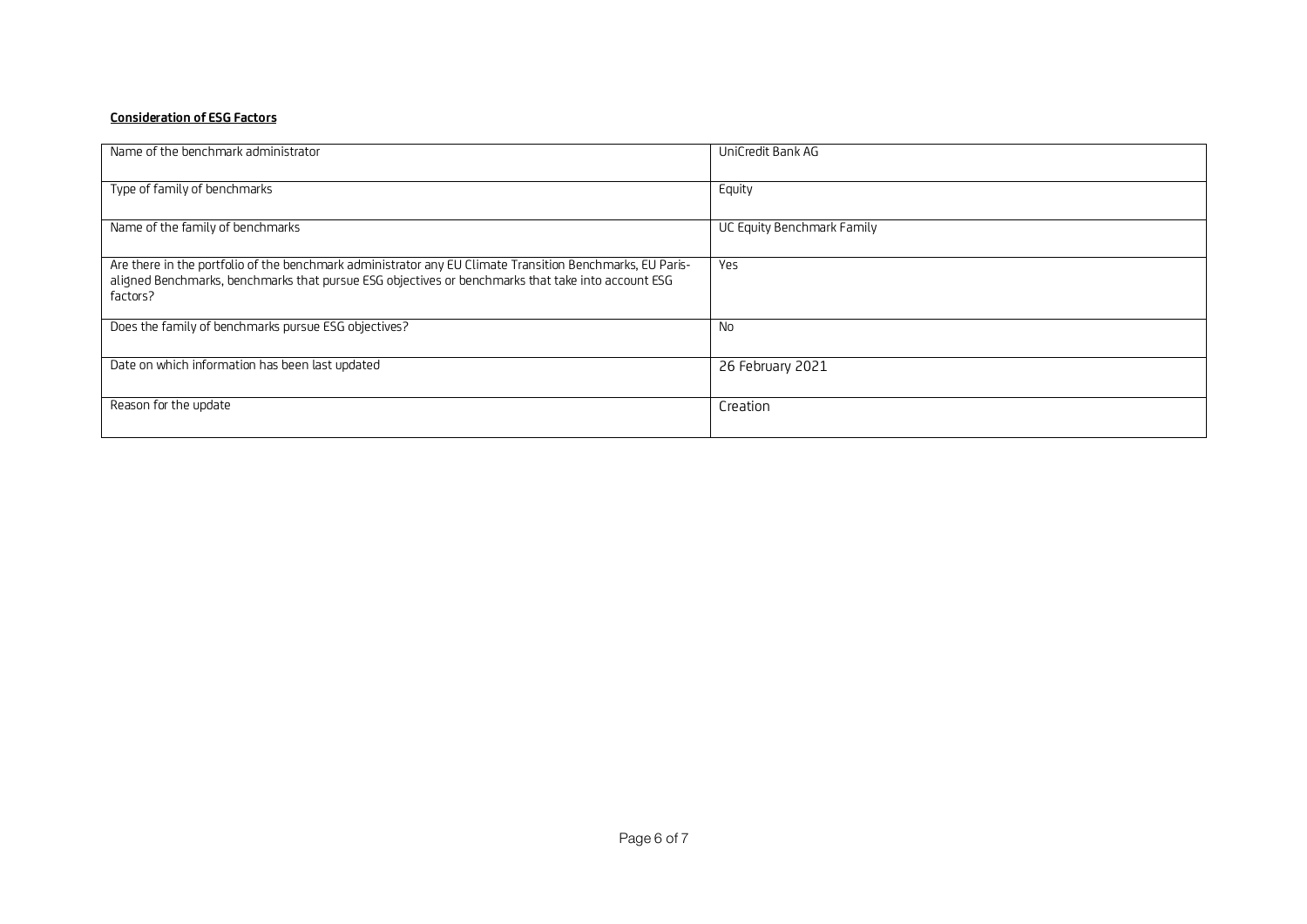#### **Consideration of ESG Factors**

| Name of the benchmark administrator                                                                                                                                                                                         | UniCredit Bank AG          |
|-----------------------------------------------------------------------------------------------------------------------------------------------------------------------------------------------------------------------------|----------------------------|
| Type of family of benchmarks                                                                                                                                                                                                | Equity                     |
| Name of the family of benchmarks                                                                                                                                                                                            | UC Equity Benchmark Family |
| Are there in the portfolio of the benchmark administrator any EU Climate Transition Benchmarks, EU Paris-<br>aligned Benchmarks, benchmarks that pursue ESG objectives or benchmarks that take into account ESG<br>factors? | Yes                        |
| Does the family of benchmarks pursue ESG objectives?                                                                                                                                                                        | <b>No</b>                  |
| Date on which information has been last updated                                                                                                                                                                             | 26 February 2021           |
| Reason for the update                                                                                                                                                                                                       | Creation                   |